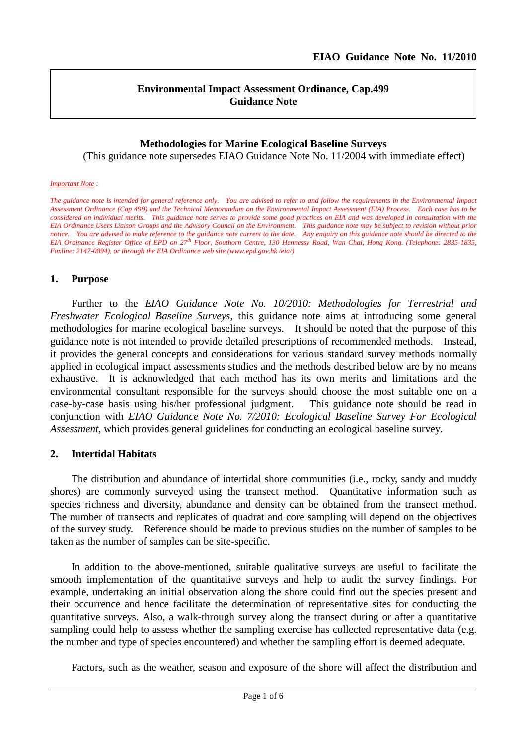## **Environmental Impact Assessment Ordinance, Cap.499 Guidance Note**

# **Methodologies for Marine Ecological Baseline Surveys**

(This guidance note supersedes EIAO Guidance Note No. 11/2004 with immediate effect)

#### *Important Note :*

*The guidance note is intended for general reference only. You are advised to refer to and follow the requirements in the Environmental Impact Assessment Ordinance (Cap 499) and the Technical Memorandum on the Environmental Impact Assessment (EIA) Process. Each case has to be considered on individual merits. This guidance note serves to provide some good practices on EIA and was developed in consultation with the EIA Ordinance Users Liaison Groups and the Advisory Council on the Environment. This guidance note may be subject to revision without prior notice. You are advised to make reference to the guidance note current to the date. Any enquiry on this guidance note should be directed to the EIA Ordinance Register Office of EPD on 27th Floor, Southorn Centre, 130 Hennessy Road, Wan Chai, Hong Kong. (Telephone: 2835-1835, Faxline: 2147-0894), or through the EIA Ordinance web site (www.epd.gov.hk /eia/)*

#### **1. Purpose**

Further to the *EIAO Guidance Note No. 10/2010: Methodologies for Terrestrial and Freshwater Ecological Baseline Surveys*, this guidance note aims at introducing some general methodologies for marine ecological baseline surveys. It should be noted that the purpose of this guidance note is not intended to provide detailed prescriptions of recommended methods. Instead, it provides the general concepts and considerations for various standard survey methods normally applied in ecological impact assessments studies and the methods described below are by no means exhaustive. It is acknowledged that each method has its own merits and limitations and the environmental consultant responsible for the surveys should choose the most suitable one on a case-by-case basis using his/her professional judgment. This guidance note should be read in conjunction with *EIAO Guidance Note No. 7/2010: Ecological Baseline Survey For Ecological Assessment*, which provides general guidelines for conducting an ecological baseline survey.

## **2. Intertidal Habitats**

The distribution and abundance of intertidal shore communities (i.e., rocky, sandy and muddy shores) are commonly surveyed using the transect method. Quantitative information such as species richness and diversity, abundance and density can be obtained from the transect method. The number of transects and replicates of quadrat and core sampling will depend on the objectives of the survey study. Reference should be made to previous studies on the number of samples to be taken as the number of samples can be site-specific.

In addition to the above-mentioned, suitable qualitative surveys are useful to facilitate the smooth implementation of the quantitative surveys and help to audit the survey findings. For example, undertaking an initial observation along the shore could find out the species present and their occurrence and hence facilitate the determination of representative sites for conducting the quantitative surveys. Also, a walk-through survey along the transect during or after a quantitative sampling could help to assess whether the sampling exercise has collected representative data (e.g. the number and type of species encountered) and whether the sampling effort is deemed adequate.

Factors, such as the weather, season and exposure of the shore will affect the distribution and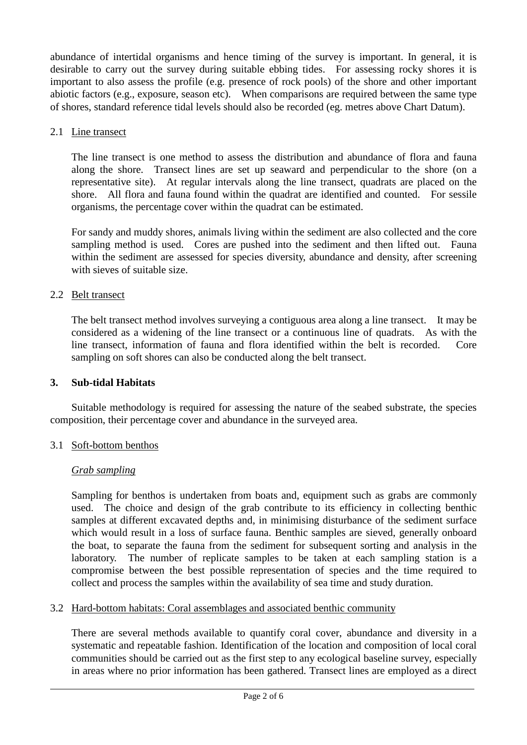abundance of intertidal organisms and hence timing of the survey is important. In general, it is desirable to carry out the survey during suitable ebbing tides. For assessing rocky shores it is important to also assess the profile (e.g. presence of rock pools) of the shore and other important abiotic factors (e.g., exposure, season etc). When comparisons are required between the same type of shores, standard reference tidal levels should also be recorded (eg. metres above Chart Datum).

## 2.1 Line transect

The line transect is one method to assess the distribution and abundance of flora and fauna along the shore. Transect lines are set up seaward and perpendicular to the shore (on a representative site). At regular intervals along the line transect, quadrats are placed on the shore. All flora and fauna found within the quadrat are identified and counted. For sessile organisms, the percentage cover within the quadrat can be estimated.

For sandy and muddy shores, animals living within the sediment are also collected and the core sampling method is used. Cores are pushed into the sediment and then lifted out. Fauna within the sediment are assessed for species diversity, abundance and density, after screening with sieves of suitable size.

## 2.2 Belt transect

The belt transect method involves surveying a contiguous area along a line transect. It may be considered as a widening of the line transect or a continuous line of quadrats. As with the line transect, information of fauna and flora identified within the belt is recorded. Core sampling on soft shores can also be conducted along the belt transect.

## **3. Sub-tidal Habitats**

Suitable methodology is required for assessing the nature of the seabed substrate, the species composition, their percentage cover and abundance in the surveyed area.

## 3.1 Soft-bottom benthos

## *Grab sampling*

Sampling for benthos is undertaken from boats and, equipment such as grabs are commonly used. The choice and design of the grab contribute to its efficiency in collecting benthic samples at different excavated depths and, in minimising disturbance of the sediment surface which would result in a loss of surface fauna. Benthic samples are sieved, generally onboard the boat, to separate the fauna from the sediment for subsequent sorting and analysis in the laboratory. The number of replicate samples to be taken at each sampling station is a compromise between the best possible representation of species and the time required to collect and process the samples within the availability of sea time and study duration.

## 3.2 Hard-bottom habitats: Coral assemblages and associated benthic community

There are several methods available to quantify coral cover, abundance and diversity in a systematic and repeatable fashion. Identification of the location and composition of local coral communities should be carried out as the first step to any ecological baseline survey, especially in areas where no prior information has been gathered. Transect lines are employed as a direct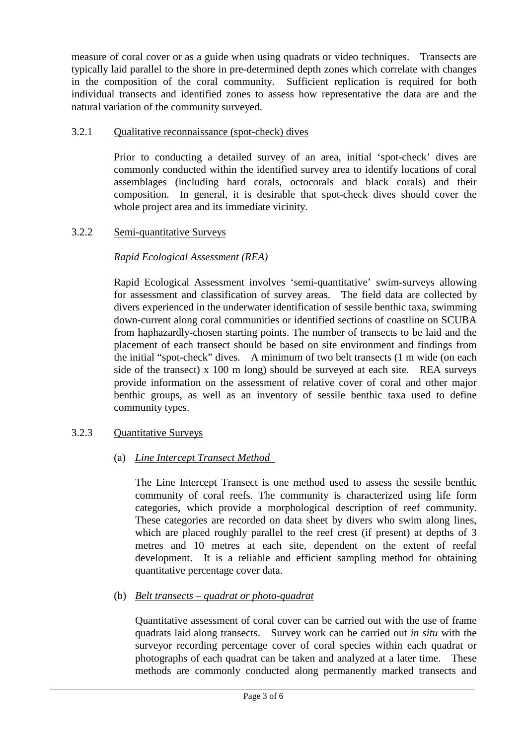measure of coral cover or as a guide when using quadrats or video techniques. Transects are typically laid parallel to the shore in pre-determined depth zones which correlate with changes in the composition of the coral community. Sufficient replication is required for both individual transects and identified zones to assess how representative the data are and the natural variation of the community surveyed.

## 3.2.1 Qualitative reconnaissance (spot-check) dives

Prior to conducting a detailed survey of an area, initial 'spot-check' dives are commonly conducted within the identified survey area to identify locations of coral assemblages (including hard corals, octocorals and black corals) and their composition. In general, it is desirable that spot-check dives should cover the whole project area and its immediate vicinity.

## 3.2.2 Semi-quantitative Surveys

## *Rapid Ecological Assessment (REA)*

Rapid Ecological Assessment involves 'semi-quantitative' swim-surveys allowing for assessment and classification of survey areas. The field data are collected by divers experienced in the underwater identification of sessile benthic taxa, swimming down-current along coral communities or identified sections of coastline on SCUBA from haphazardly-chosen starting points. The number of transects to be laid and the placement of each transect should be based on site environment and findings from the initial "spot-check" dives. A minimum of two belt transects (1 m wide (on each side of the transect) x 100 m long) should be surveyed at each site. REA surveys provide information on the assessment of relative cover of coral and other major benthic groups, as well as an inventory of sessile benthic taxa used to define community types.

## 3.2.3 Quantitative Surveys

## (a) *Line Intercept Transect Method*

The Line Intercept Transect is one method used to assess the sessile benthic community of coral reefs. The community is characterized using life form categories, which provide a morphological description of reef community. These categories are recorded on data sheet by divers who swim along lines, which are placed roughly parallel to the reef crest (if present) at depths of 3 metres and 10 metres at each site, dependent on the extent of reefal development. It is a reliable and efficient sampling method for obtaining quantitative percentage cover data.

## (b) *Belt transects – quadrat or photo-quadrat*

Quantitative assessment of coral cover can be carried out with the use of frame quadrats laid along transects. Survey work can be carried out *in situ* with the surveyor recording percentage cover of coral species within each quadrat or photographs of each quadrat can be taken and analyzed at a later time. These methods are commonly conducted along permanently marked transects and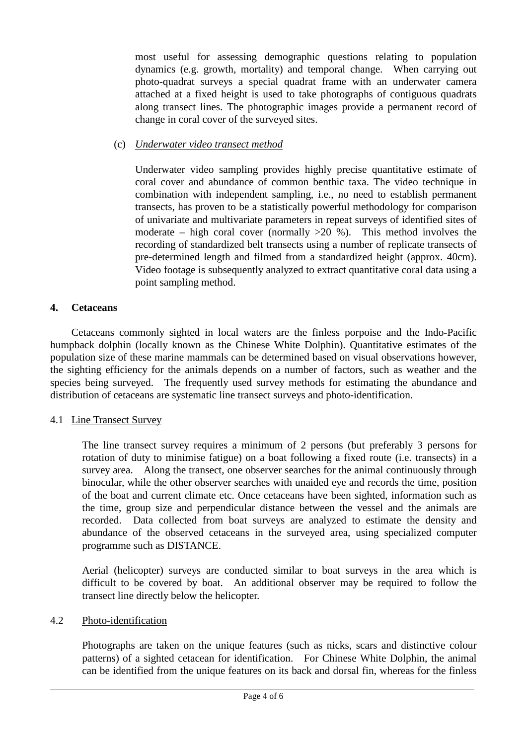most useful for assessing demographic questions relating to population dynamics (e.g. growth, mortality) and temporal change. When carrying out photo-quadrat surveys a special quadrat frame with an underwater camera attached at a fixed height is used to take photographs of contiguous quadrats along transect lines. The photographic images provide a permanent record of change in coral cover of the surveyed sites.

## (c) *Underwater video transect method*

Underwater video sampling provides highly precise quantitative estimate of coral cover and abundance of common benthic taxa. The video technique in combination with independent sampling, i.e., no need to establish permanent transects, has proven to be a statistically powerful methodology for comparison of univariate and multivariate parameters in repeat surveys of identified sites of moderate – high coral cover (normally  $>20$  %). This method involves the recording of standardized belt transects using a number of replicate transects of pre-determined length and filmed from a standardized height (approx. 40cm). Video footage is subsequently analyzed to extract quantitative coral data using a point sampling method.

## **4. Cetaceans**

Cetaceans commonly sighted in local waters are the finless porpoise and the Indo-Pacific humpback dolphin (locally known as the Chinese White Dolphin). Quantitative estimates of the population size of these marine mammals can be determined based on visual observations however, the sighting efficiency for the animals depends on a number of factors, such as weather and the species being surveyed. The frequently used survey methods for estimating the abundance and distribution of cetaceans are systematic line transect surveys and photo-identification.

## 4.1 Line Transect Survey

The line transect survey requires a minimum of 2 persons (but preferably 3 persons for rotation of duty to minimise fatigue) on a boat following a fixed route (i.e. transects) in a survey area. Along the transect, one observer searches for the animal continuously through binocular, while the other observer searches with unaided eye and records the time, position of the boat and current climate etc. Once cetaceans have been sighted, information such as the time, group size and perpendicular distance between the vessel and the animals are recorded. Data collected from boat surveys are analyzed to estimate the density and abundance of the observed cetaceans in the surveyed area, using specialized computer programme such as DISTANCE.

Aerial (helicopter) surveys are conducted similar to boat surveys in the area which is difficult to be covered by boat. An additional observer may be required to follow the transect line directly below the helicopter.

## 4.2 Photo-identification

Photographs are taken on the unique features (such as nicks, scars and distinctive colour patterns) of a sighted cetacean for identification. For Chinese White Dolphin, the animal can be identified from the unique features on its back and dorsal fin, whereas for the finless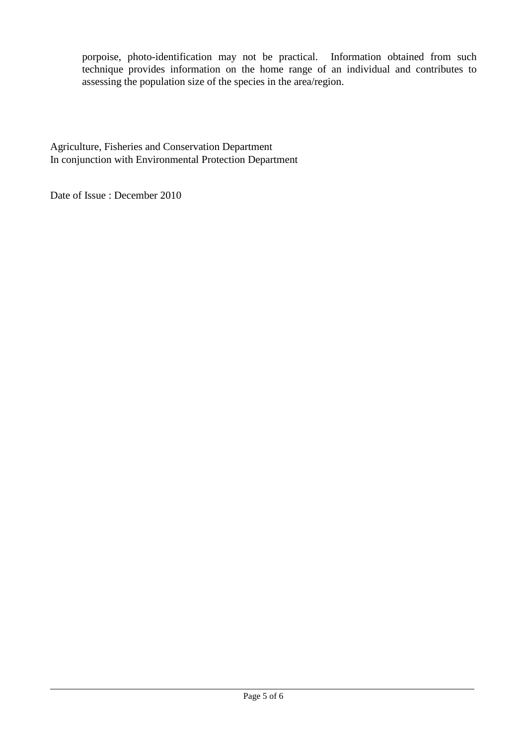porpoise, photo-identification may not be practical. Information obtained from such technique provides information on the home range of an individual and contributes to assessing the population size of the species in the area/region.

Agriculture, Fisheries and Conservation Department In conjunction with Environmental Protection Department

Date of Issue : December 2010